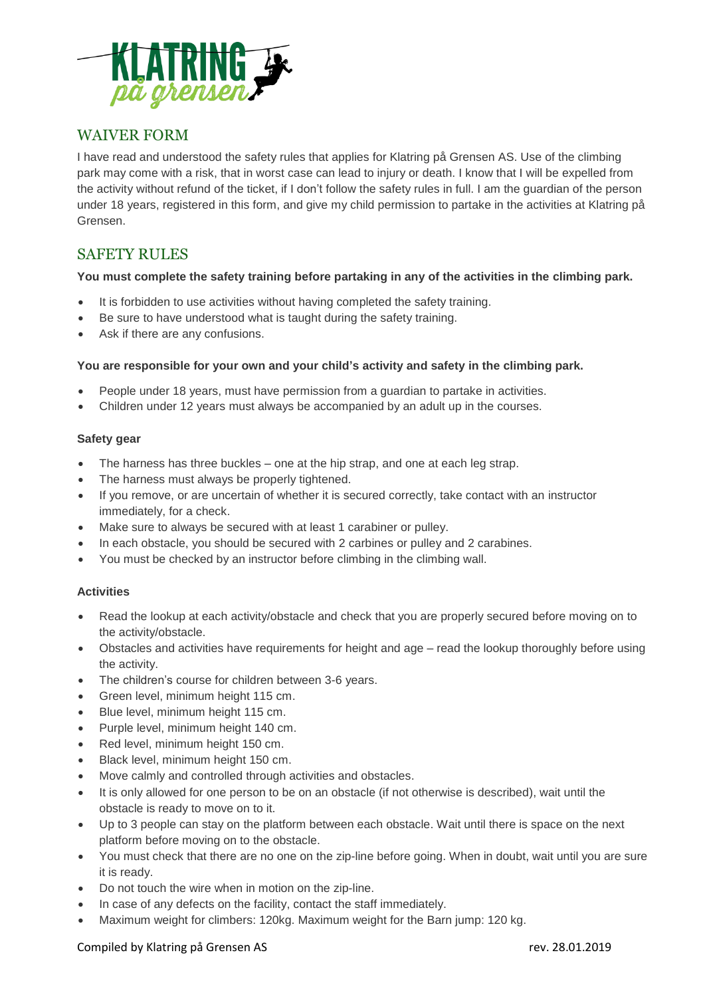

# WAIVER FORM

I have read and understood the safety rules that applies for Klatring på Grensen AS. Use of the climbing park may come with a risk, that in worst case can lead to injury or death. I know that I will be expelled from the activity without refund of the ticket, if I don't follow the safety rules in full. I am the guardian of the person under 18 years, registered in this form, and give my child permission to partake in the activities at Klatring på Grensen.

# SAFETY RULES

# **You must complete the safety training before partaking in any of the activities in the climbing park.**

- It is forbidden to use activities without having completed the safety training.
- Be sure to have understood what is taught during the safety training.
- Ask if there are any confusions.

# **You are responsible for your own and your child's activity and safety in the climbing park.**

- People under 18 years, must have permission from a guardian to partake in activities.
- Children under 12 years must always be accompanied by an adult up in the courses.

#### **Safety gear**

- The harness has three buckles one at the hip strap, and one at each leg strap.
- The harness must always be properly tightened.
- If you remove, or are uncertain of whether it is secured correctly, take contact with an instructor immediately, for a check.
- Make sure to always be secured with at least 1 carabiner or pulley.
- In each obstacle, you should be secured with 2 carbines or pulley and 2 carabines.
- You must be checked by an instructor before climbing in the climbing wall.

# **Activities**

- Read the lookup at each activity/obstacle and check that you are properly secured before moving on to the activity/obstacle.
- Obstacles and activities have requirements for height and age read the lookup thoroughly before using the activity.
- The children's course for children between 3-6 years.
- Green level, minimum height 115 cm.
- Blue level, minimum height 115 cm.
- Purple level, minimum height 140 cm.
- Red level, minimum height 150 cm.
- Black level, minimum height 150 cm.
- Move calmly and controlled through activities and obstacles.
- It is only allowed for one person to be on an obstacle (if not otherwise is described), wait until the obstacle is ready to move on to it.
- Up to 3 people can stay on the platform between each obstacle. Wait until there is space on the next platform before moving on to the obstacle.
- You must check that there are no one on the zip-line before going. When in doubt, wait until you are sure it is ready.
- Do not touch the wire when in motion on the zip-line.
- In case of any defects on the facility, contact the staff immediately.
- Maximum weight for climbers: 120kg. Maximum weight for the Barn jump: 120 kg.

# Compiled by Klatring på Grensen AS **rev. 28.01.2019** rev. 28.01.2019